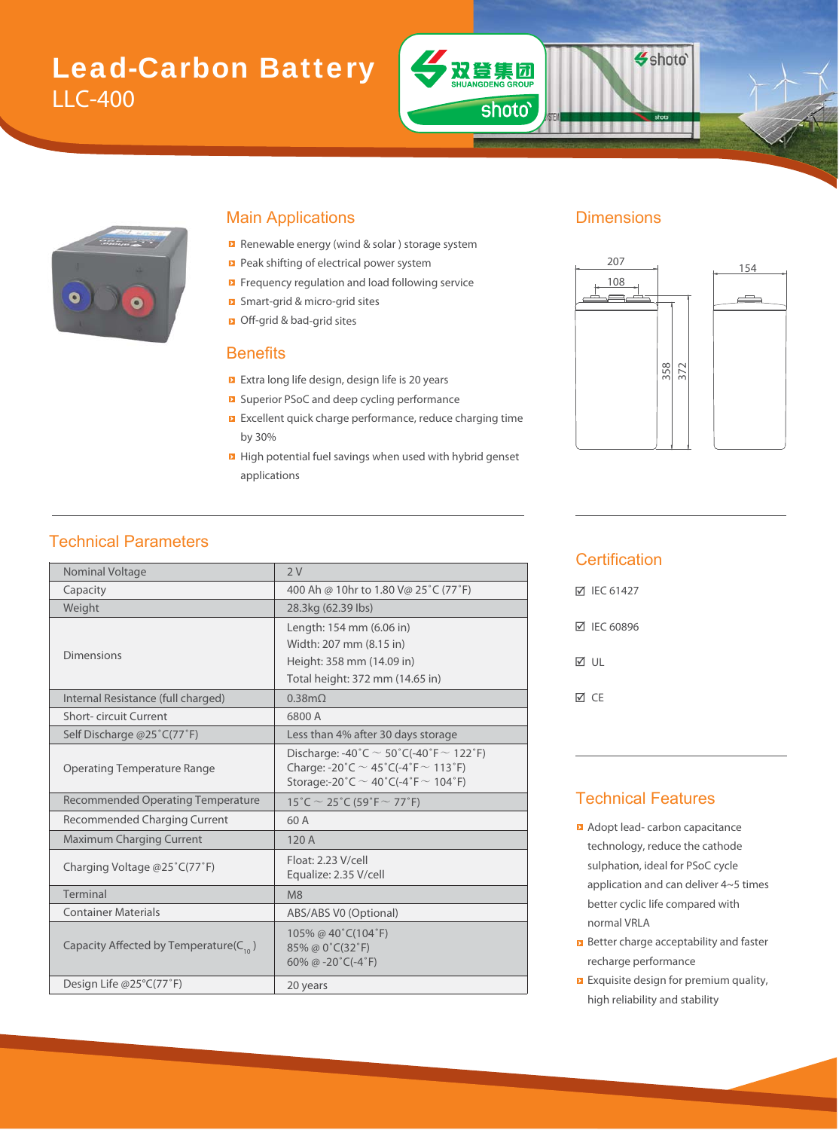# Lead-Carbon Battery LLC-400



#### Main Applications **Dimensions**

- Renewable energy (wind & solar ) storage system
- Peak shifting of electrical power system
- Frequency regulation and load following service
- Smart-grid & micro-grid sites & m
- Off-grid & bad-grid sites bad

#### **Benefits**

- Extra long life design, design life is 20 years
- Superior PSoC and deep cycling performance
- **EXCELLENT CONCOCO EXCELLENT** Excellent quick charge performance, reduce charging time by 30%
- **E** High potential fuel savings when used with hybrid genset applications

双登集团

shoto'

Shoto<sup>®</sup>



### Technical Parameters

| Nominal Voltage                              | 2V                                                                                                                                               |  |  |  |
|----------------------------------------------|--------------------------------------------------------------------------------------------------------------------------------------------------|--|--|--|
| Capacity                                     | 400 Ah @ 10hr to 1.80 V@ 25°C (77°F)                                                                                                             |  |  |  |
| Weight                                       | 28.3kg (62.39 lbs)                                                                                                                               |  |  |  |
|                                              | Length: 154 mm (6.06 in)                                                                                                                         |  |  |  |
|                                              | Width: 207 mm (8.15 in)                                                                                                                          |  |  |  |
| <b>Dimensions</b>                            | Height: 358 mm (14.09 in)                                                                                                                        |  |  |  |
|                                              | Total height: 372 mm (14.65 in)                                                                                                                  |  |  |  |
| Internal Resistance (full charged)           | $0.38$ m $\Omega$                                                                                                                                |  |  |  |
| Short-circuit Current                        | 6800 A                                                                                                                                           |  |  |  |
| Self Discharge @25°C(77°F)                   | Less than 4% after 30 days storage                                                                                                               |  |  |  |
| <b>Operating Temperature Range</b>           | Discharge: -40°C $\sim$ 50°C(-40°F $\sim$ 122°F)<br>Charge: -20°C $\sim$ 45°C(-4°F $\sim$ 113°F)<br>Storage:-20°C $\sim$ 40°C(-4°F $\sim$ 104°F) |  |  |  |
| <b>Recommended Operating Temperature</b>     | 15°C $\sim$ 25°C (59°F $\sim$ 77°F)                                                                                                              |  |  |  |
| Recommended Charging Current                 | 60 A                                                                                                                                             |  |  |  |
| <b>Maximum Charging Current</b>              | 120 A                                                                                                                                            |  |  |  |
| Charging Voltage @25°C(77°F)                 | Float: 2.23 V/cell<br>Equalize: 2.35 V/cell                                                                                                      |  |  |  |
| Terminal                                     | M8                                                                                                                                               |  |  |  |
| <b>Container Materials</b>                   | ABS/ABS V0 (Optional)                                                                                                                            |  |  |  |
| Capacity Affected by Temperature( $C_{10}$ ) | 105% @ 40°C(104°F)<br>85% @ 0°C(32°F)<br>60% @ $-20^{\circ}$ C( $-4^{\circ}$ F)                                                                  |  |  |  |
| Design Life @25°C(77°F)                      | 20 years                                                                                                                                         |  |  |  |
|                                              |                                                                                                                                                  |  |  |  |

#### **Certification**

| <b>▽ IEC 61427</b> |
|--------------------|
| <b>☑ IEC 60896</b> |
| M ∪⊩               |
| ⊠ CF               |

#### Technical Features

- **Adopt lead- carbon capacitance** technology, reduce the cathode sulphation, ideal for PSoC cycle application and can deliver 4~5 times better cyclic life compared with normal VRLA
- **B** Better charge acceptability and faster recharge performance
- **Exquisite design for premium quality,** high reliability and stability